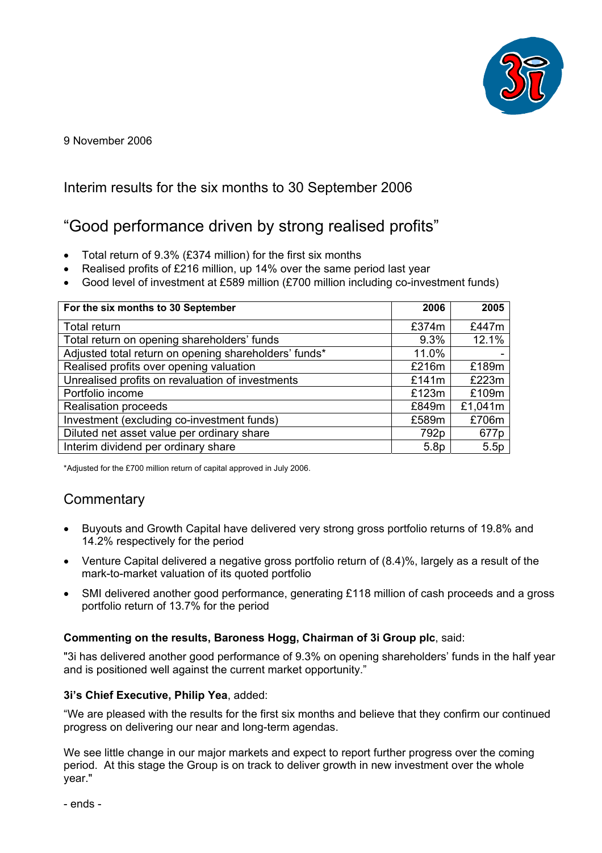

9 November 2006

# Interim results for the six months to 30 September 2006

# "Good performance driven by strong realised profits"

- Total return of 9.3% (£374 million) for the first six months
- Realised profits of £216 million, up 14% over the same period last year
- Good level of investment at £589 million (£700 million including co-investment funds)

| For the six months to 30 September                    | 2006             | 2005    |
|-------------------------------------------------------|------------------|---------|
| Total return                                          | £374m            | £447m   |
| Total return on opening shareholders' funds           | 9.3%             | 12.1%   |
| Adjusted total return on opening shareholders' funds* | 11.0%            |         |
| Realised profits over opening valuation               | £216m            | £189m   |
| Unrealised profits on revaluation of investments      | £141 $m$         | £223m   |
| Portfolio income                                      | £123m            | £109m   |
| <b>Realisation proceeds</b>                           | £849m            | £1,041m |
| Investment (excluding co-investment funds)            | £589m            | £706m   |
| Diluted net asset value per ordinary share            | 792 <sub>p</sub> | 677p    |
| Interim dividend per ordinary share                   | 5.8 <sub>p</sub> | 5.5p    |

\*Adjusted for the £700 million return of capital approved in July 2006.

# **Commentary**

- Buyouts and Growth Capital have delivered very strong gross portfolio returns of 19.8% and 14.2% respectively for the period
- Venture Capital delivered a negative gross portfolio return of (8.4)%, largely as a result of the mark-to-market valuation of its quoted portfolio
- SMI delivered another good performance, generating £118 million of cash proceeds and a gross portfolio return of 13.7% for the period

#### **Commenting on the results, Baroness Hogg, Chairman of 3i Group plc**, said:

"3i has delivered another good performance of 9.3% on opening shareholders' funds in the half year and is positioned well against the current market opportunity."

#### **3i's Chief Executive, Philip Yea**, added:

"We are pleased with the results for the first six months and believe that they confirm our continued progress on delivering our near and long-term agendas.

We see little change in our major markets and expect to report further progress over the coming period. At this stage the Group is on track to deliver growth in new investment over the whole year."

- ends -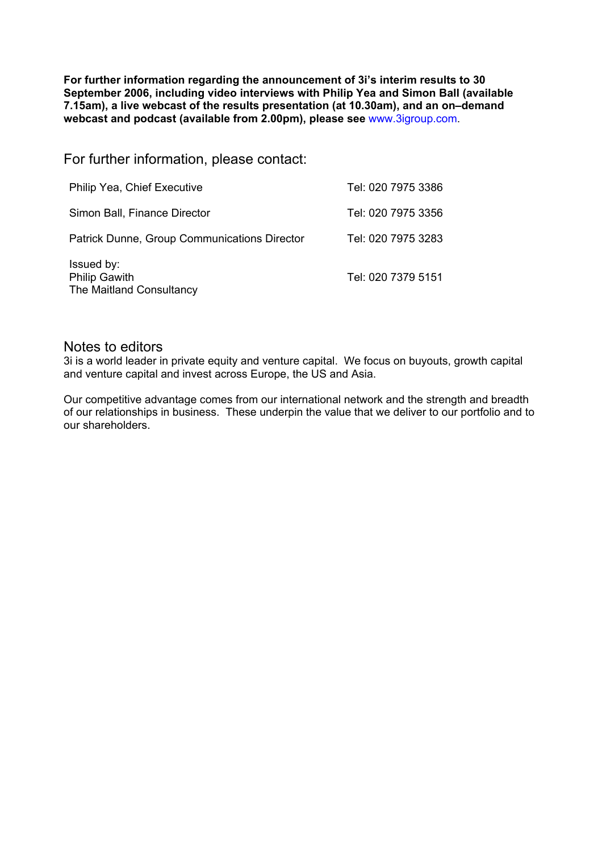**For further information regarding the announcement of 3i's interim results to 30 September 2006, including video interviews with Philip Yea and Simon Ball (available 7.15am), a live webcast of the results presentation (at 10.30am), and an on–demand webcast and podcast (available from 2.00pm), please see** www.3igroup.com.

For further information, please contact:

| Philip Yea, Chief Executive                                    | Tel: 020 7975 3386 |
|----------------------------------------------------------------|--------------------|
| Simon Ball, Finance Director                                   | Tel: 020 7975 3356 |
| <b>Patrick Dunne, Group Communications Director</b>            | Tel: 020 7975 3283 |
| Issued by:<br><b>Philip Gawith</b><br>The Maitland Consultancy | Tel: 020 7379 5151 |

#### Notes to editors

3i is a world leader in private equity and venture capital. We focus on buyouts, growth capital and venture capital and invest across Europe, the US and Asia.

Our competitive advantage comes from our international network and the strength and breadth of our relationships in business. These underpin the value that we deliver to our portfolio and to our shareholders.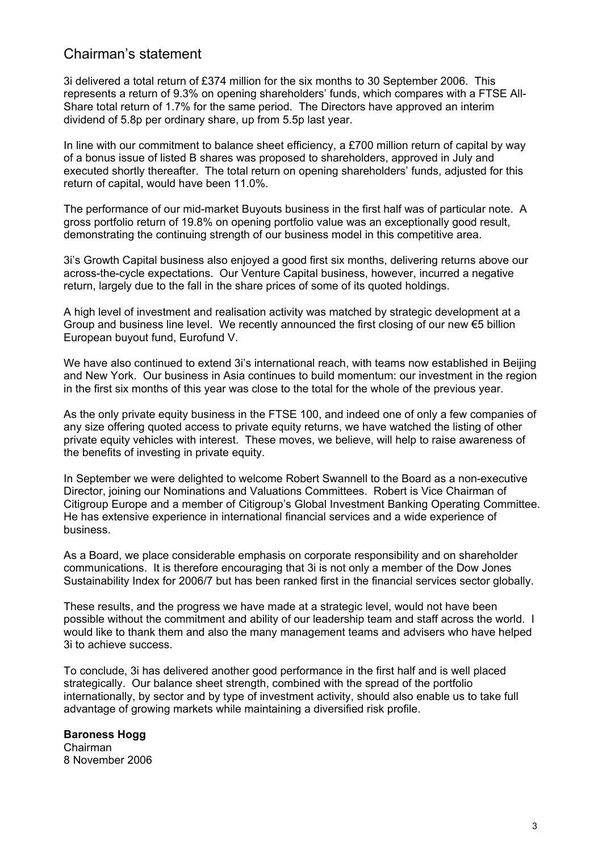# Chairman's statement

3i delivered a total return of £374 million for the six months to 30 September 2006. This represents a return of 9.3% on opening shareholders' funds, which compares with a FTSE All-Share total return of 1.7% for the same period. The Directors have approved an interim dividend of 5.8p per ordinary share, up from 5.5p last year.

In line with our commitment to balance sheet efficiency, a  $£700$  million return of capital by way of a bonus issue of listed B shares was proposed to shareholders, approved in July and executed shortly thereafter. The total return on opening shareholders' funds, adjusted for this return of capital, would have been 11.0%.

The performance of our mid-market Buyouts business in the first half was of particular note. A gross portfolio return of 19.8% on opening portfolio value was an exceptionally good result, demonstrating the continuing strength of our business model in this competitive area.

3i's Growth Capital business also enjoyed a good first six months, delivering returns above our across-the-cycle expectations. Our Venture Capital business, however, incurred a negative return, largely due to the fall in the share prices of some of its quoted holdings.

A high level of investment and realisation activity was matched by strategic development at a Group and business line level. We recently announced the first closing of our new  $\epsilon$ 5 billion European buyout fund, Eurofund V.

We have also continued to extend 3i's international reach, with teams now established in Beijing and New York. Our business in Asia continues to build momentum: our investment in the region in the first six months of this year was close to the total for the whole of the previous year.

As the only private equity business in the FTSE 100, and indeed one of only a few companies of any size offering quoted access to private equity returns, we have watched the listing of other private equity vehicles with interest. These moves, we believe, will help to raise awareness of the benefits of investing in private equity.

In September we were delighted to welcome Robert Swannell to the Board as a non-executive Director, joining our Nominations and Valuations Committees. Robert is Vice Chairman of Citigroup Europe and a member of Citigroup's Global Investment Banking Operating Committee. He has extensive experience in international financial services and a wide experience of business.

As a Board, we place considerable emphasis on corporate responsibility and on shareholder communications. It is therefore encouraging that 3i is not only a member of the Dow Jones Sustainability Index for 2006/7 but has been ranked first in the financial services sector globally.

These results, and the progress we have made at a strategic level, would not have been possible without the commitment and ability of our leadership team and staff across the world. I would like to thank them and also the many management teams and advisers who have helped 3i to achieve success.

To conclude, 3i has delivered another good performance in the first half and is well placed strategically. Our balance sheet strength, combined with the spread of the portfolio internationally, by sector and by type of investment activity, should also enable us to take full advantage of growing markets while maintaining a diversified risk profile.

**Baroness Hogg**  Chairman 8 November 2006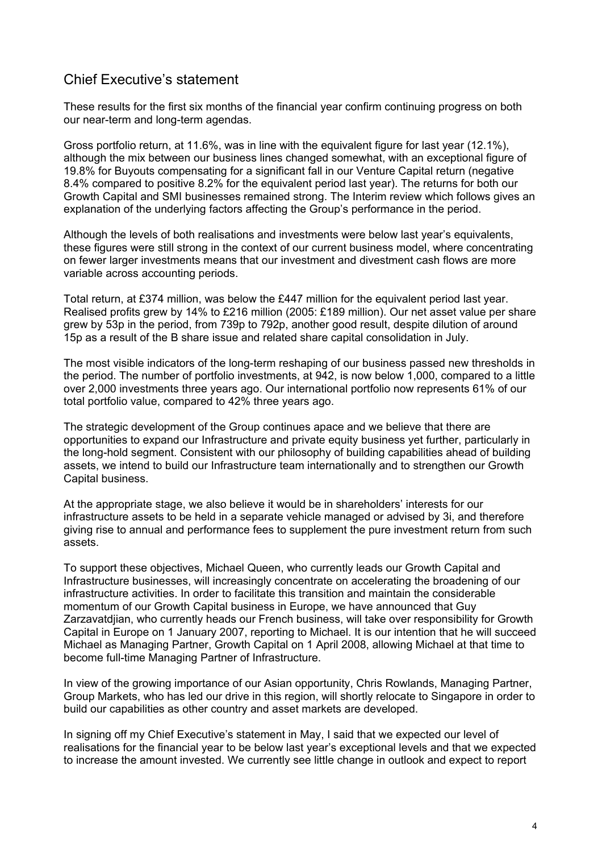# Chief Executive's statement

These results for the first six months of the financial year confirm continuing progress on both our near-term and long-term agendas.

Gross portfolio return, at 11.6%, was in line with the equivalent figure for last year (12.1%), although the mix between our business lines changed somewhat, with an exceptional figure of 19.8% for Buyouts compensating for a significant fall in our Venture Capital return (negative 8.4% compared to positive 8.2% for the equivalent period last year). The returns for both our Growth Capital and SMI businesses remained strong. The Interim review which follows gives an explanation of the underlying factors affecting the Group's performance in the period.

Although the levels of both realisations and investments were below last year's equivalents, these figures were still strong in the context of our current business model, where concentrating on fewer larger investments means that our investment and divestment cash flows are more variable across accounting periods.

Total return, at £374 million, was below the £447 million for the equivalent period last year. Realised profits grew by 14% to £216 million (2005: £189 million). Our net asset value per share grew by 53p in the period, from 739p to 792p, another good result, despite dilution of around 15p as a result of the B share issue and related share capital consolidation in July.

The most visible indicators of the long-term reshaping of our business passed new thresholds in the period. The number of portfolio investments, at 942, is now below 1,000, compared to a little over 2,000 investments three years ago. Our international portfolio now represents 61% of our total portfolio value, compared to 42% three years ago.

The strategic development of the Group continues apace and we believe that there are opportunities to expand our Infrastructure and private equity business yet further, particularly in the long-hold segment. Consistent with our philosophy of building capabilities ahead of building assets, we intend to build our Infrastructure team internationally and to strengthen our Growth Capital business.

At the appropriate stage, we also believe it would be in shareholders' interests for our infrastructure assets to be held in a separate vehicle managed or advised by 3i, and therefore giving rise to annual and performance fees to supplement the pure investment return from such assets.

To support these objectives, Michael Queen, who currently leads our Growth Capital and Infrastructure businesses, will increasingly concentrate on accelerating the broadening of our infrastructure activities. In order to facilitate this transition and maintain the considerable momentum of our Growth Capital business in Europe, we have announced that Guy Zarzavatdjian, who currently heads our French business, will take over responsibility for Growth Capital in Europe on 1 January 2007, reporting to Michael. It is our intention that he will succeed Michael as Managing Partner, Growth Capital on 1 April 2008, allowing Michael at that time to become full-time Managing Partner of Infrastructure.

In view of the growing importance of our Asian opportunity, Chris Rowlands, Managing Partner, Group Markets, who has led our drive in this region, will shortly relocate to Singapore in order to build our capabilities as other country and asset markets are developed.

In signing off my Chief Executive's statement in May, I said that we expected our level of realisations for the financial year to be below last year's exceptional levels and that we expected to increase the amount invested. We currently see little change in outlook and expect to report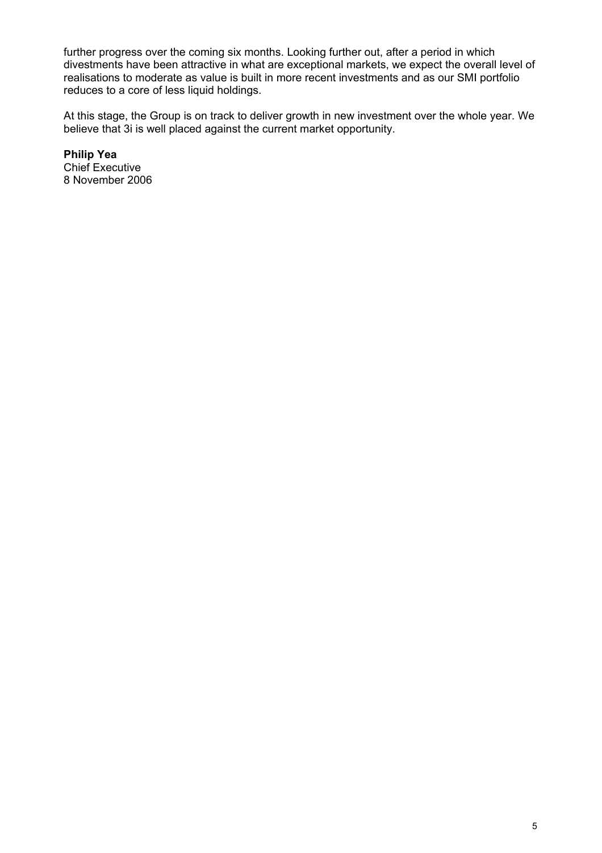further progress over the coming six months. Looking further out, after a period in which divestments have been attractive in what are exceptional markets, we expect the overall level of realisations to moderate as value is built in more recent investments and as our SMI portfolio reduces to a core of less liquid holdings.

At this stage, the Group is on track to deliver growth in new investment over the whole year. We believe that 3i is well placed against the current market opportunity.

**Philip Yea**  Chief Executive 8 November 2006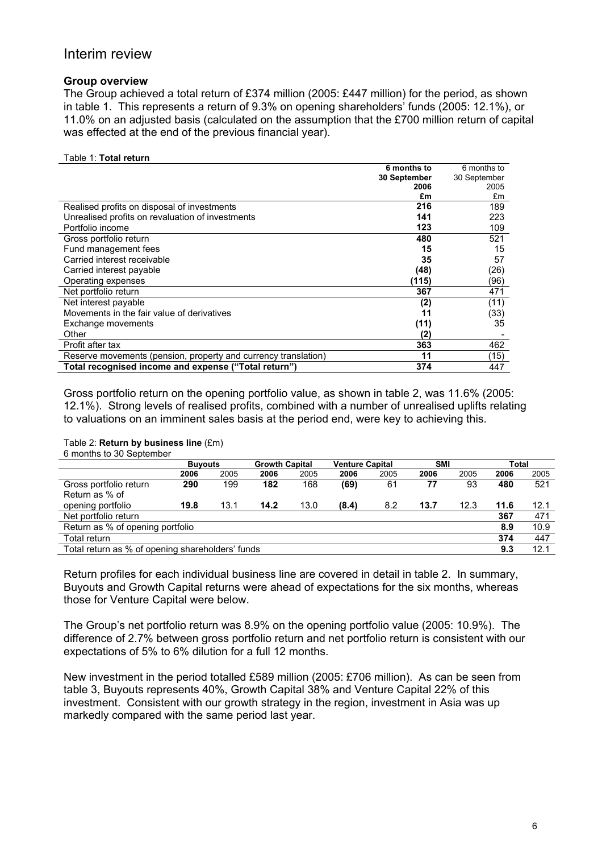## Interim review

#### **Group overview**

The Group achieved a total return of £374 million (2005: £447 million) for the period, as shown in table 1. This represents a return of 9.3% on opening shareholders' funds (2005: 12.1%), or 11.0% on an adjusted basis (calculated on the assumption that the £700 million return of capital was effected at the end of the previous financial year).

#### Table 1: **Total return**

|                                                                | 6 months to  | 6 months to  |
|----------------------------------------------------------------|--------------|--------------|
|                                                                | 30 September | 30 September |
|                                                                | 2006         | 2005         |
|                                                                | £m           | £m           |
| Realised profits on disposal of investments                    | 216          | 189          |
| Unrealised profits on revaluation of investments               | 141          | 223          |
| Portfolio income                                               | 123          | 109          |
| Gross portfolio return                                         | 480          | 521          |
| Fund management fees                                           | 15           | 15           |
| Carried interest receivable                                    | 35           | 57           |
| Carried interest payable                                       | (48)         | (26)         |
| Operating expenses                                             | (115)        | (96)         |
| Net portfolio return                                           | 367          | 471          |
| Net interest payable                                           | (2)          | (11)         |
| Movements in the fair value of derivatives                     | 11           | (33)         |
| Exchange movements                                             | (11)         | 35           |
| Other                                                          | (2)          |              |
| Profit after tax                                               | 363          | 462          |
| Reserve movements (pension, property and currency translation) | 11           | (15)         |
| Total recognised income and expense ("Total return")           | 374          | 447          |

Gross portfolio return on the opening portfolio value, as shown in table 2, was 11.6% (2005: 12.1%). Strong levels of realised profits, combined with a number of unrealised uplifts relating to valuations on an imminent sales basis at the period end, were key to achieving this.

#### Table 2: **Return by business line** (£m)

6 months to 30 September

|                                                  | <b>Buyouts</b> |      | <b>Growth Capital</b> |      | <b>Venture Capital</b> |      | <b>SMI</b> |      | <b>Total</b> |      |
|--------------------------------------------------|----------------|------|-----------------------|------|------------------------|------|------------|------|--------------|------|
|                                                  | 2006           | 2005 | 2006                  | 2005 | 2006                   | 2005 | 2006       | 2005 | 2006         | 2005 |
| Gross portfolio return                           | 290            | 199  | 182                   | 168  | (69)                   | 61   | 77         | 93   | 480          | 521  |
| Return as % of                                   |                |      |                       |      |                        |      |            |      |              |      |
| opening portfolio                                | 19.8           | 13.1 | 14.2                  | 13.0 | (8.4)                  | 8.2  | 13.7       | 12.3 | 11.6         | 12.1 |
| Net portfolio return                             |                |      |                       |      |                        |      |            |      | 367          | 471  |
| Return as % of opening portfolio                 |                |      |                       |      |                        |      |            |      | 8.9          | 10.9 |
| Total return                                     |                |      |                       |      |                        |      |            |      | 374          | 447  |
| Total return as % of opening shareholders' funds |                |      |                       |      |                        |      |            |      | 9.3          | 12.1 |

Return profiles for each individual business line are covered in detail in table 2. In summary, Buyouts and Growth Capital returns were ahead of expectations for the six months, whereas those for Venture Capital were below.

The Group's net portfolio return was 8.9% on the opening portfolio value (2005: 10.9%). The difference of 2.7% between gross portfolio return and net portfolio return is consistent with our expectations of 5% to 6% dilution for a full 12 months.

New investment in the period totalled £589 million (2005: £706 million). As can be seen from table 3, Buyouts represents 40%, Growth Capital 38% and Venture Capital 22% of this investment. Consistent with our growth strategy in the region, investment in Asia was up markedly compared with the same period last year.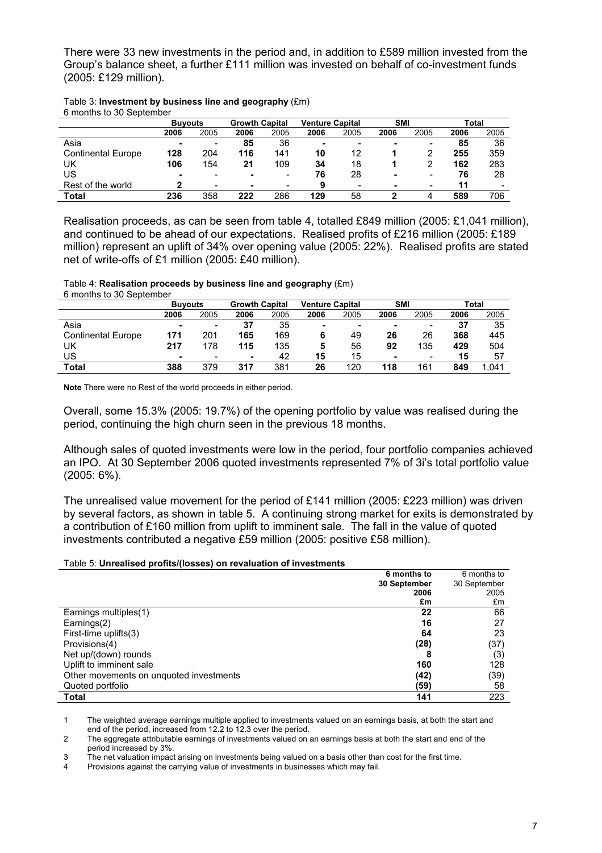There were 33 new investments in the period and, in addition to £589 million invested from the Group's balance sheet, a further £111 million was invested on behalf of co-investment funds (2005: £129 million).

| 6 months to 30 September  |                |      |                       |      |                        |      |            |                          |       |      |
|---------------------------|----------------|------|-----------------------|------|------------------------|------|------------|--------------------------|-------|------|
|                           | <b>Buvouts</b> |      | <b>Growth Capital</b> |      | <b>Venture Capital</b> |      | <b>SMI</b> |                          | Total |      |
|                           | 2006           | 2005 | 2006                  | 2005 | 2006                   | 2005 | 2006       | 2005                     | 2006  | 2005 |
| Asia                      | ۰              | -    | 85                    | 36   |                        |      | -          | -                        | 85    | 36   |
| <b>Continental Europe</b> | 128            | 204  | 116                   | 141  | 10                     | 12   |            |                          | 255   | 359  |
| UK                        | 106            | 154  | 21                    | 109  | 34                     | 18   |            |                          | 162   | 283  |
| US                        | -              |      |                       |      | 76                     | 28   | -          | -                        | 76    | 28   |
| Rest of the world         | າ              |      |                       |      | 9                      |      |            | $\overline{\phantom{0}}$ | 11    |      |
| Total                     | 236            | 358  | 222                   | 286  | 129                    | 58   |            |                          | 589   | 706  |

#### Table 3: **Investment by business line and geography** (£m) 6 months to 30 September

Realisation proceeds, as can be seen from table 4, totalled £849 million (2005: £1,041 million), and continued to be ahead of our expectations. Realised profits of £216 million (2005: £189 million) represent an uplift of 34% over opening value (2005: 22%). Realised profits are stated net of write-offs of £1 million (2005: £40 million).

## Table 4: **Realisation proceeds by business line and geography** (£m)

6 months to 30 September

|                           | <b>Buvouts</b> |      | <b>Growth Capital</b> |      | <b>Venture Capital</b> |      | <b>SMI</b> |                          | Total |      |
|---------------------------|----------------|------|-----------------------|------|------------------------|------|------------|--------------------------|-------|------|
|                           | 2006           | 2005 | 2006                  | 2005 | 2006                   | 2005 | 2006       | 2005                     | 2006  | 2005 |
| Asia                      |                | -    | 37                    | 35   | -                      |      |            | $\overline{\phantom{0}}$ | 37    | 35   |
| <b>Continental Europe</b> | 171            | 201  | 165                   | 169  | 6                      | 49   | 26         | 26                       | 368   | 445  |
| UK                        | 217            | 178  | 115                   | 135  | 5                      | 56   | 92         | 135                      | 429   | 504  |
| US                        | -              |      | -                     | 42   | 15                     | 15   | ۰          | $\overline{\phantom{0}}$ | 15    | 57   |
| Total                     | 388            | 379  | 317                   | 381  | 26                     | 120  | 118        | 161                      | 849   | .041 |

**Note** There were no Rest of the world proceeds in either period.

Overall, some 15.3% (2005: 19.7%) of the opening portfolio by value was realised during the period, continuing the high churn seen in the previous 18 months.

Although sales of quoted investments were low in the period, four portfolio companies achieved an IPO. At 30 September 2006 quoted investments represented 7% of 3i's total portfolio value (2005: 6%).

The unrealised value movement for the period of £141 million (2005: £223 million) was driven by several factors, as shown in table 5. A continuing strong market for exits is demonstrated by a contribution of £160 million from uplift to imminent sale. The fall in the value of quoted investments contributed a negative £59 million (2005: positive £58 million).

#### Table 5: **Unrealised profits/(losses) on revaluation of investments**

|                                         | 6 months to  | 6 months to  |
|-----------------------------------------|--------------|--------------|
|                                         | 30 September | 30 September |
|                                         | 2006         | 2005         |
|                                         | £m           | £m           |
| Earnings multiples(1)                   | 22           | 66           |
| Earnings(2)                             | 16           | 27           |
| First-time uplifts(3)                   | 64           | 23           |
| Provisions(4)                           | (28)         | (37)         |
| Net up/(down) rounds                    |              | (3)          |
| Uplift to imminent sale                 | 160          | 128          |
| Other movements on unquoted investments | (42)         | (39)         |
| Quoted portfolio                        | (59)         | 58           |
| <b>Total</b>                            | 141          | 223          |

1 The weighted average earnings multiple applied to investments valued on an earnings basis, at both the start and end of the period, increased from 12.2 to 12.3 over the period.

2 The aggregate attributable earnings of investments valued on an earnings basis at both the start and end of the period increased by 3%.

3 The net valuation impact arising on investments being valued on a basis other than cost for the first time.

4 Provisions against the carrying value of investments in businesses which may fail.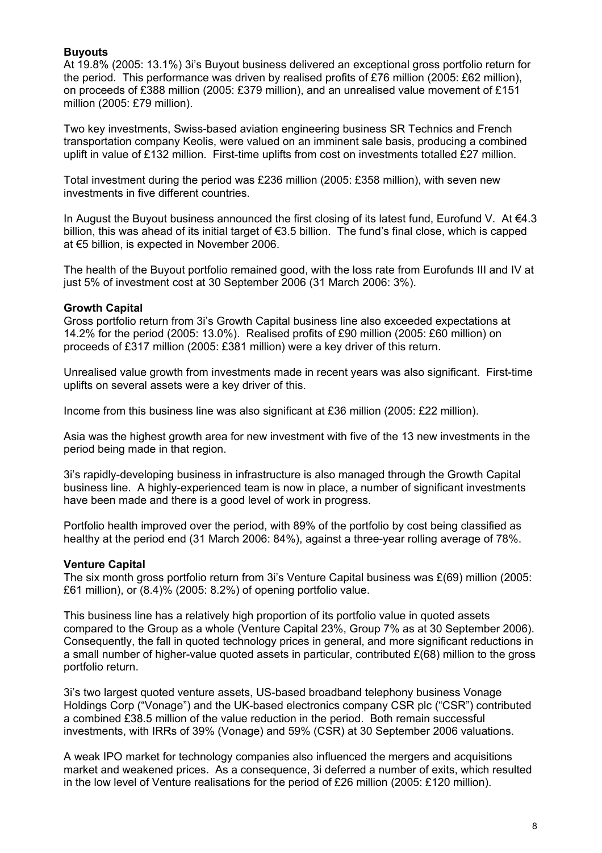#### **Buyouts**

At 19.8% (2005: 13.1%) 3i's Buyout business delivered an exceptional gross portfolio return for the period. This performance was driven by realised profits of £76 million (2005: £62 million), on proceeds of £388 million (2005: £379 million), and an unrealised value movement of £151 million (2005: £79 million).

Two key investments, Swiss-based aviation engineering business SR Technics and French transportation company Keolis, were valued on an imminent sale basis, producing a combined uplift in value of £132 million. First-time uplifts from cost on investments totalled £27 million.

Total investment during the period was £236 million (2005: £358 million), with seven new investments in five different countries.

In August the Buyout business announced the first closing of its latest fund, Eurofund V. At  $\in 4.3$ billion, this was ahead of its initial target of €3.5 billion. The fund's final close, which is capped at €5 billion, is expected in November 2006.

The health of the Buyout portfolio remained good, with the loss rate from Eurofunds III and IV at just 5% of investment cost at 30 September 2006 (31 March 2006: 3%).

#### **Growth Capital**

Gross portfolio return from 3i's Growth Capital business line also exceeded expectations at 14.2% for the period (2005: 13.0%). Realised profits of £90 million (2005: £60 million) on proceeds of £317 million (2005: £381 million) were a key driver of this return.

Unrealised value growth from investments made in recent years was also significant. First-time uplifts on several assets were a key driver of this.

Income from this business line was also significant at £36 million (2005: £22 million).

Asia was the highest growth area for new investment with five of the 13 new investments in the period being made in that region.

3i's rapidly-developing business in infrastructure is also managed through the Growth Capital business line. A highly-experienced team is now in place, a number of significant investments have been made and there is a good level of work in progress.

Portfolio health improved over the period, with 89% of the portfolio by cost being classified as healthy at the period end (31 March 2006: 84%), against a three-year rolling average of 78%.

#### **Venture Capital**

The six month gross portfolio return from 3i's Venture Capital business was £(69) million (2005: £61 million), or (8.4)% (2005: 8.2%) of opening portfolio value.

This business line has a relatively high proportion of its portfolio value in quoted assets compared to the Group as a whole (Venture Capital 23%, Group 7% as at 30 September 2006). Consequently, the fall in quoted technology prices in general, and more significant reductions in a small number of higher-value quoted assets in particular, contributed  $E(68)$  million to the gross portfolio return.

3i's two largest quoted venture assets, US-based broadband telephony business Vonage Holdings Corp ("Vonage") and the UK-based electronics company CSR plc ("CSR") contributed a combined £38.5 million of the value reduction in the period. Both remain successful investments, with IRRs of 39% (Vonage) and 59% (CSR) at 30 September 2006 valuations.

A weak IPO market for technology companies also influenced the mergers and acquisitions market and weakened prices. As a consequence, 3i deferred a number of exits, which resulted in the low level of Venture realisations for the period of £26 million (2005: £120 million).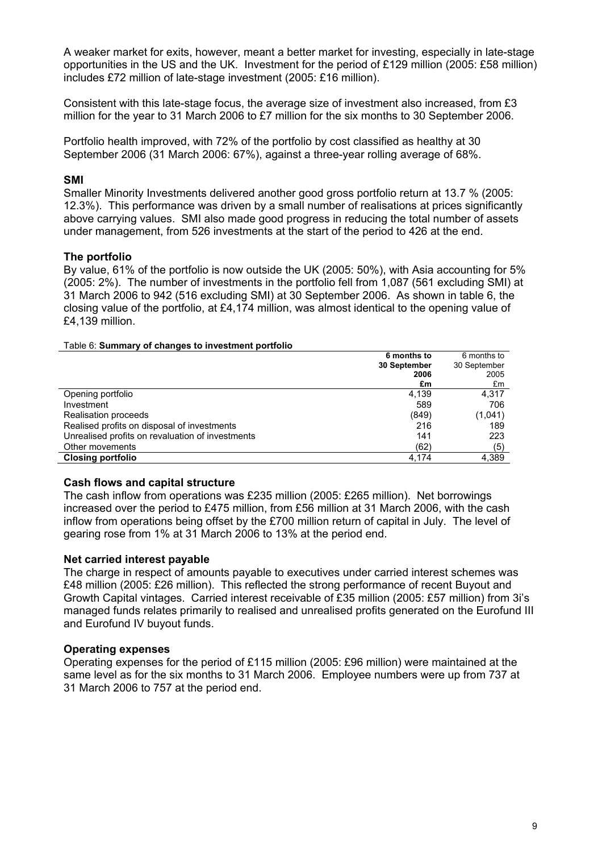A weaker market for exits, however, meant a better market for investing, especially in late-stage opportunities in the US and the UK. Investment for the period of £129 million (2005: £58 million) includes £72 million of late-stage investment (2005: £16 million).

Consistent with this late-stage focus, the average size of investment also increased, from £3 million for the year to 31 March 2006 to £7 million for the six months to 30 September 2006.

Portfolio health improved, with 72% of the portfolio by cost classified as healthy at 30 September 2006 (31 March 2006: 67%), against a three-year rolling average of 68%.

#### **SMI**

Smaller Minority Investments delivered another good gross portfolio return at 13.7 % (2005: 12.3%). This performance was driven by a small number of realisations at prices significantly above carrying values. SMI also made good progress in reducing the total number of assets under management, from 526 investments at the start of the period to 426 at the end.

#### **The portfolio**

By value, 61% of the portfolio is now outside the UK (2005: 50%), with Asia accounting for 5% (2005: 2%). The number of investments in the portfolio fell from 1,087 (561 excluding SMI) at 31 March 2006 to 942 (516 excluding SMI) at 30 September 2006. As shown in table 6, the closing value of the portfolio, at £4,174 million, was almost identical to the opening value of £4,139 million.

#### Table 6: **Summary of changes to investment portfolio**

|                                                  | 6 months to  | 6 months to  |
|--------------------------------------------------|--------------|--------------|
|                                                  | 30 September | 30 September |
|                                                  | 2006         | 2005         |
|                                                  | £m           | £m           |
| Opening portfolio                                | 4,139        | 4.317        |
| Investment                                       | 589          | 706          |
| Realisation proceeds                             | (849)        | (1,041)      |
| Realised profits on disposal of investments      | 216          | 189          |
| Unrealised profits on revaluation of investments | 141          | 223          |
| Other movements                                  | (62)         | (5)          |
| <b>Closing portfolio</b>                         | 4,174        | 4,389        |

#### **Cash flows and capital structure**

The cash inflow from operations was £235 million (2005: £265 million). Net borrowings increased over the period to £475 million, from £56 million at 31 March 2006, with the cash inflow from operations being offset by the £700 million return of capital in July. The level of gearing rose from 1% at 31 March 2006 to 13% at the period end.

#### **Net carried interest payable**

The charge in respect of amounts payable to executives under carried interest schemes was £48 million (2005: £26 million). This reflected the strong performance of recent Buyout and Growth Capital vintages. Carried interest receivable of £35 million (2005: £57 million) from 3i's managed funds relates primarily to realised and unrealised profits generated on the Eurofund III and Eurofund IV buyout funds.

#### **Operating expenses**

Operating expenses for the period of £115 million (2005: £96 million) were maintained at the same level as for the six months to 31 March 2006. Employee numbers were up from 737 at 31 March 2006 to 757 at the period end.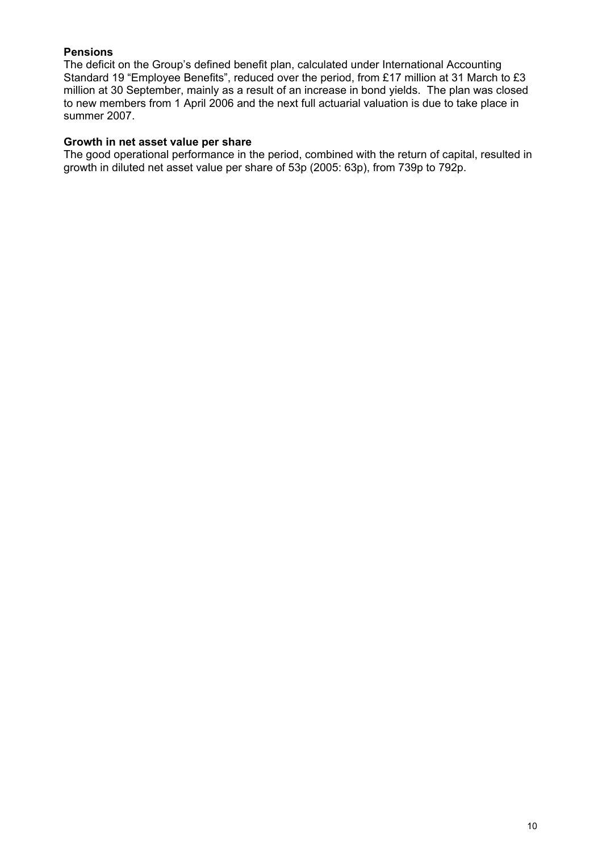### **Pensions**

The deficit on the Group's defined benefit plan, calculated under International Accounting Standard 19 "Employee Benefits", reduced over the period, from £17 million at 31 March to £3 million at 30 September, mainly as a result of an increase in bond yields. The plan was closed to new members from 1 April 2006 and the next full actuarial valuation is due to take place in summer 2007.

#### **Growth in net asset value per share**

The good operational performance in the period, combined with the return of capital, resulted in growth in diluted net asset value per share of 53p (2005: 63p), from 739p to 792p.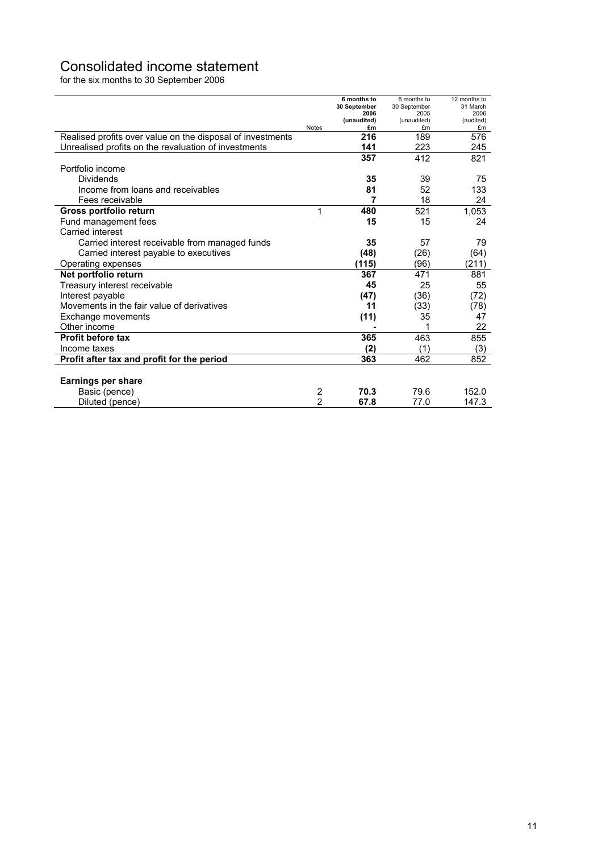# Consolidated income statement

for the six months to 30 September 2006

|                                                            |              | 6 months to<br>30 September | 6 months to<br>30 September | 12 months to<br>31 March |
|------------------------------------------------------------|--------------|-----------------------------|-----------------------------|--------------------------|
|                                                            |              | 2006                        | 2005                        | 2006                     |
|                                                            |              | (unaudited)                 | (unaudited)                 | (audited)                |
|                                                            | <b>Notes</b> | £m<br>216                   | £m<br>189                   | £m<br>576                |
| Realised profits over value on the disposal of investments |              |                             |                             |                          |
| Unrealised profits on the revaluation of investments       |              | 141                         | 223                         | 245                      |
|                                                            |              | 357                         | 412                         | 821                      |
| Portfolio income                                           |              |                             |                             |                          |
| Dividends                                                  |              | 35                          | 39                          | 75                       |
| Income from loans and receivables                          |              | 81                          | 52                          | 133                      |
| Fees receivable                                            |              | 7                           | 18                          | 24                       |
| Gross portfolio return                                     | 1            | 480                         | 521                         | 1.053                    |
| Fund management fees                                       |              | 15                          | 15                          | 24                       |
| Carried interest                                           |              |                             |                             |                          |
| Carried interest receivable from managed funds             |              | 35                          | 57                          | 79                       |
| Carried interest payable to executives                     |              | (48)                        | (26)                        | (64)                     |
| Operating expenses                                         |              | (115)                       | (96)                        | (211)                    |
| Net portfolio return                                       |              | 367                         | 471                         | 881                      |
| Treasury interest receivable                               |              | 45                          | 25                          | 55                       |
| Interest payable                                           |              | (47)                        | (36)                        | (72)                     |
| Movements in the fair value of derivatives                 |              | 11                          | (33)                        | (78)                     |
| <b>Exchange movements</b>                                  |              | (11)                        | 35                          | 47                       |
| Other income                                               |              |                             |                             | 22                       |
| <b>Profit before tax</b>                                   |              | 365                         | 463                         | 855                      |
| Income taxes                                               |              | (2)                         | (1)                         | (3)                      |
| Profit after tax and profit for the period                 |              | 363                         | 462                         | 852                      |
|                                                            |              |                             |                             |                          |
| <b>Earnings per share</b>                                  |              |                             |                             |                          |
| Basic (pence)                                              | 2            | 70.3                        | 79.6                        | 152.0                    |
| Diluted (pence)                                            | 2            | 67.8                        | 77.0                        | 147.3                    |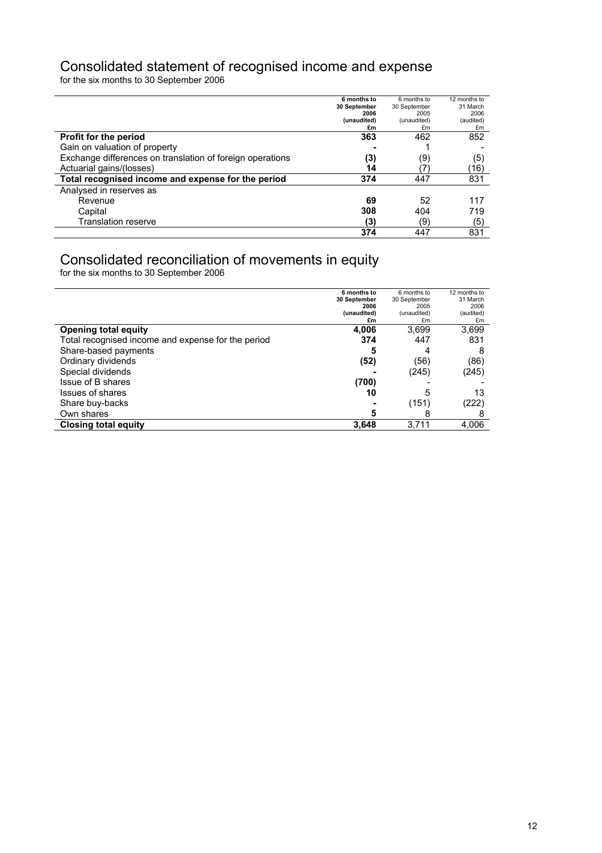# Consolidated statement of recognised income and expense

for the six months to 30 September 2006

|                                                           | 6 months to<br>30 September | 6 months to<br>30 September | 12 months to<br>31 March |
|-----------------------------------------------------------|-----------------------------|-----------------------------|--------------------------|
|                                                           | 2006                        | 2005                        | 2006                     |
|                                                           | (unaudited)                 | (unaudited)                 | (audited)                |
|                                                           | £m                          | £m                          | £m                       |
| Profit for the period                                     | 363                         | 462                         | 852                      |
| Gain on valuation of property                             |                             |                             |                          |
| Exchange differences on translation of foreign operations | (3)                         | (9)                         | (5)                      |
| Actuarial gains/(losses)                                  | 14                          |                             | (16)                     |
| Total recognised income and expense for the period        | 374                         | 447                         | 831                      |
| Analysed in reserves as                                   |                             |                             |                          |
| Revenue                                                   | 69                          | 52                          | 117                      |
| Capital                                                   | 308                         | 404                         | 719                      |
| Translation reserve                                       | (3)                         | (9)                         | (5)                      |
|                                                           | 374                         | 447                         | 831                      |

## Consolidated reconciliation of movements in equity

for the six months to 30 September 2006

|                                                    | 6 months to<br>30 September | 6 months to<br>30 September | 12 months to<br>31 March |
|----------------------------------------------------|-----------------------------|-----------------------------|--------------------------|
|                                                    | 2006                        | 2005                        | 2006                     |
|                                                    | (unaudited)                 | (unaudited)                 | (audited)                |
|                                                    | £m                          | £m                          | £m                       |
| <b>Opening total equity</b>                        | 4,006                       | 3.699                       | 3,699                    |
| Total recognised income and expense for the period | 374                         | 447                         | 831                      |
| Share-based payments                               | 5                           | 4                           |                          |
| Ordinary dividends                                 | (52)                        | (56)                        | (86)                     |
| Special dividends                                  |                             | (245)                       | (245)                    |
| Issue of B shares                                  | (700)                       |                             |                          |
| Issues of shares                                   | 10                          | 5                           | 13                       |
| Share buy-backs                                    |                             | (151)                       | (222)                    |
| Own shares                                         | 5                           | 8                           |                          |
| <b>Closing total equity</b>                        | 3,648                       | 3,711                       | 4,006                    |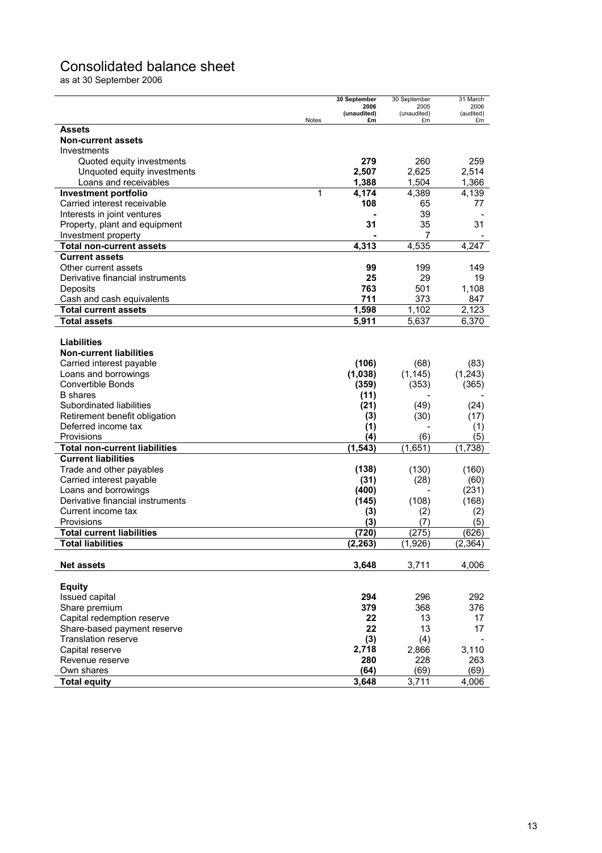# Consolidated balance sheet

as at 30 September 2006

|                                      | 30 September        | 30 September        | 31 March             |
|--------------------------------------|---------------------|---------------------|----------------------|
|                                      | 2006<br>(unaudited) | 2005<br>(unaudited) | 2006<br>(audited)    |
|                                      | Notes<br>£m         | £m                  | £m                   |
| Assets                               |                     |                     |                      |
| <b>Non-current assets</b>            |                     |                     |                      |
| Investments                          |                     |                     |                      |
| Quoted equity investments            | 279                 | 260                 | 259                  |
| Unquoted equity investments          | 2,507               | 2,625               | 2,514                |
| Loans and receivables                | 1,388               | 1,504               | 1,366                |
| <b>Investment portfolio</b>          | 1<br>4,174          | 4,389               | 4,139                |
| Carried interest receivable          | 108                 | 65                  | 77                   |
| Interests in joint ventures          |                     | 39                  |                      |
| Property, plant and equipment        | 31                  | 35                  | 31                   |
| Investment property                  |                     | 7                   |                      |
| <b>Total non-current assets</b>      | 4,313               | 4,535               | 4,247                |
| <b>Current assets</b>                |                     |                     |                      |
| Other current assets                 | 99                  | 199                 | 149                  |
| Derivative financial instruments     | 25                  | 29                  | 19                   |
| Deposits                             | 763                 | 501                 | 1,108                |
| Cash and cash equivalents            | 711                 | 373                 | 847                  |
| <b>Total current assets</b>          | 1,598               | 1,102               | $\overline{2}$ , 123 |
| Total assets                         | 5,911               | 5.637               | 6,370                |
|                                      |                     |                     |                      |
| <b>Liabilities</b>                   |                     |                     |                      |
| <b>Non-current liabilities</b>       |                     |                     |                      |
| Carried interest payable             | (106)               | (68)                | (83)                 |
| Loans and borrowings                 | (1,038)             | (1, 145)            | (1,243)              |
| Convertible Bonds                    | (359)               | (353)               | (365)                |
| <b>B</b> shares                      | (11)                |                     |                      |
| Subordinated liabilities             | (21)                | (49)                | (24)                 |
| Retirement benefit obligation        | (3)                 | (30)                | (17)                 |
| Deferred income tax                  | (1)                 |                     | (1)                  |
| Provisions                           | (4)                 | (6)                 | (5)                  |
| <b>Total non-current liabilities</b> | (1, 543)            | (1,651)             | (1,738)              |
| <b>Current liabilities</b>           |                     |                     |                      |
| Trade and other payables             | (138)               | (130)               | (160)                |
| Carried interest payable             | (31)                | (28)                | (60)                 |
| Loans and borrowings                 | (400)               |                     | (231)                |
| Derivative financial instruments     | (145)               | (108)               | (168)                |
| Current income tax                   | (3)                 | (2)                 | (2)                  |
| Provisions                           | (3)                 | (7)                 | (5)                  |
| <b>Total current liabilities</b>     | (720)               | (275)               | (626)                |
| <b>Total liabilities</b>             | (2, 263)            | (1,926)             | (2, 364)             |
|                                      |                     |                     |                      |
| <b>Net assets</b>                    | 3,648               | 3,711               | 4,006                |
|                                      |                     |                     |                      |
| <b>Equity</b>                        |                     |                     |                      |
| Issued capital                       | 294                 | 296                 | 292                  |
| Share premium                        | 379                 | 368                 | 376                  |
| Capital redemption reserve           | 22                  | 13                  | 17                   |
| Share-based payment reserve          | 22                  | 13                  | 17                   |
| <b>Translation reserve</b>           | (3)                 | (4)                 |                      |
| Capital reserve                      | 2,718               | 2,866               | 3,110                |
| Revenue reserve                      | 280                 | 228                 | 263                  |
| Own shares                           | (64)                | (69)                | (69)                 |
| <b>Total equity</b>                  | 3,648               | 3,711               | 4,006                |
|                                      |                     |                     |                      |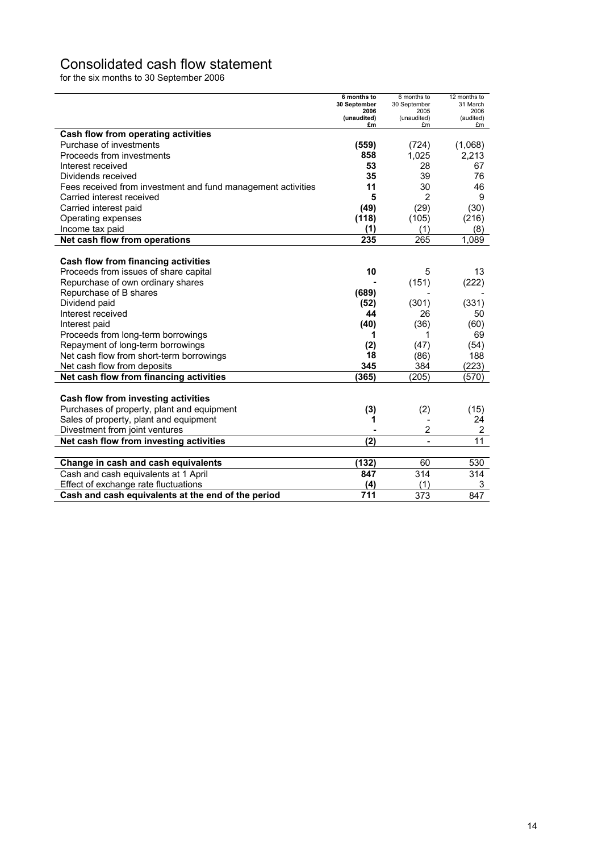# Consolidated cash flow statement

for the six months to 30 September 2006

|                                                              | 6 months to<br>30 September | 6 months to<br>30 September | 12 months to<br>31 March |
|--------------------------------------------------------------|-----------------------------|-----------------------------|--------------------------|
|                                                              | 2006<br>(unaudited)         | 2005<br>(unaudited)         | 2006<br>(audited)        |
|                                                              | £m                          | £m                          | £m                       |
| Cash flow from operating activities                          |                             |                             |                          |
| Purchase of investments                                      | (559)                       | (724)                       | (1,068)                  |
| Proceeds from investments                                    | 858                         | 1,025                       | 2,213                    |
| Interest received                                            | 53                          | 28                          | 67                       |
| Dividends received                                           | 35                          | 39                          | 76                       |
| Fees received from investment and fund management activities | 11                          | 30                          | 46                       |
| Carried interest received                                    | 5                           | $\overline{2}$              | 9                        |
| Carried interest paid                                        | (49)                        | (29)                        | (30)                     |
| Operating expenses                                           | (118)                       | (105)                       | (216)                    |
| Income tax paid                                              | (1)                         | (1)                         | (8)                      |
| Net cash flow from operations                                | 235                         | 265                         | 1,089                    |
|                                                              |                             |                             |                          |
| Cash flow from financing activities                          |                             |                             |                          |
| Proceeds from issues of share capital                        | 10                          | 5                           | 13                       |
| Repurchase of own ordinary shares                            |                             | (151)                       | (222)                    |
| Repurchase of B shares                                       | (689)                       |                             |                          |
| Dividend paid                                                | (52)                        | (301)                       | (331)                    |
| Interest received                                            | 44                          | 26                          | 50                       |
| Interest paid                                                | (40)                        | (36)                        | (60)                     |
| Proceeds from long-term borrowings                           | 1                           | 1                           | 69                       |
| Repayment of long-term borrowings                            | (2)                         | (47)                        | (54)                     |
| Net cash flow from short-term borrowings                     | 18                          | (86)                        | 188                      |
| Net cash flow from deposits                                  | 345                         | 384                         | (223)                    |
| Net cash flow from financing activities                      | (365)                       | (205)                       | (570)                    |
|                                                              |                             |                             |                          |
| Cash flow from investing activities                          |                             |                             |                          |
| Purchases of property, plant and equipment                   | (3)                         | (2)                         | (15)                     |
| Sales of property, plant and equipment                       | 1                           | $\overline{\phantom{a}}$    | 24                       |
| Divestment from joint ventures                               |                             | $\overline{2}$              | 2                        |
| Net cash flow from investing activities                      | (2)                         | $\overline{\phantom{a}}$    | 11                       |
|                                                              |                             |                             |                          |
| Change in cash and cash equivalents                          | (132)                       | 60                          | 530                      |
| Cash and cash equivalents at 1 April                         | 847                         | 314                         | 314                      |
| Effect of exchange rate fluctuations                         | (4)                         | (1)                         | 3                        |
| Cash and cash equivalents at the end of the period           | 711                         | 373                         | 847                      |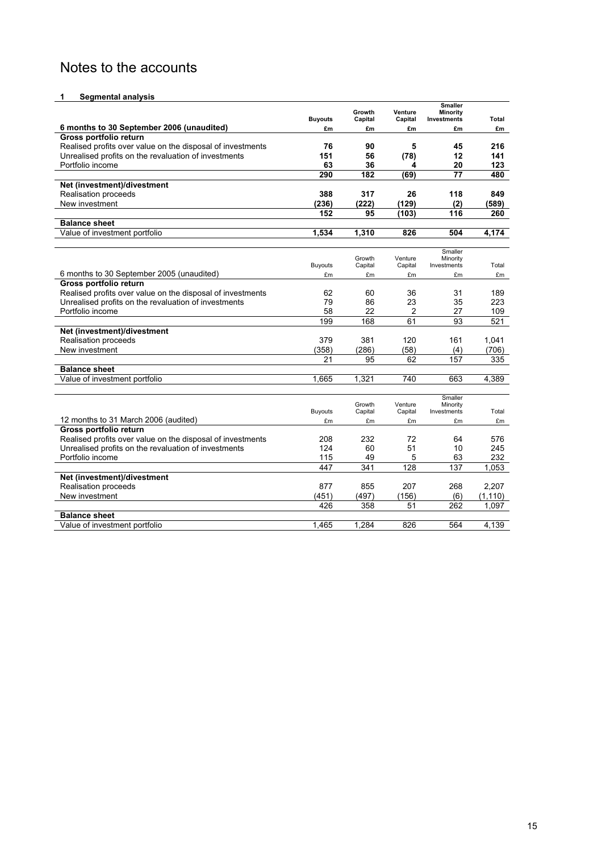# Notes to the accounts

#### **1** Segmental analysis

|                                                            |                | Growth            | Venture            | <b>Smaller</b><br>Minority |              |
|------------------------------------------------------------|----------------|-------------------|--------------------|----------------------------|--------------|
|                                                            | <b>Buyouts</b> | Capital           | Capital            | Investments                | <b>Total</b> |
| 6 months to 30 September 2006 (unaudited)                  | £m             | £m                | £m                 | £m                         | £m           |
| Gross portfolio return                                     |                |                   |                    |                            |              |
| Realised profits over value on the disposal of investments | 76             | 90                | 5                  | 45                         | 216          |
| Unrealised profits on the revaluation of investments       | 151            | 56                | (78)               | 12                         | 141          |
| Portfolio income                                           | 63             | 36                | 4                  | 20                         | 123          |
|                                                            | 290            | 182               | (69)               | 77                         | 480          |
| Net (investment)/divestment                                |                |                   |                    |                            |              |
| Realisation proceeds                                       | 388            | 317               | 26                 | 118                        | 849          |
| New investment                                             | (236)          | (222)             | (129)              | (2)                        | (589)        |
|                                                            | 152            | 95                | (103)              | 116                        | 260          |
| <b>Balance sheet</b>                                       |                |                   |                    |                            |              |
| Value of investment portfolio                              | 1,534          | 1,310             | 826                | 504                        | 4,174        |
|                                                            |                |                   |                    |                            |              |
|                                                            |                | Growth            | Venture            | Smaller<br>Minority        |              |
|                                                            | <b>Buyouts</b> | Capital           | Capital            | Investments                | Total        |
| 6 months to 30 September 2005 (unaudited)                  | £m             | £m                | £m                 | £m                         | £m           |
| Gross portfolio return                                     |                |                   |                    |                            |              |
| Realised profits over value on the disposal of investments | 62             | 60                | 36                 | 31                         | 189          |
| Unrealised profits on the revaluation of investments       | 79             | 86                | 23                 | 35                         | 223          |
| Portfolio income                                           | 58             | 22                | 2                  | 27                         | 109          |
|                                                            | 199            | 168               | 61                 | 93                         | 521          |
| Net (investment)/divestment                                |                |                   |                    |                            |              |
| Realisation proceeds                                       | 379            | 381               | 120                | 161                        | 1.041        |
| New investment                                             | (358)          | (286)             | (58)               | (4)                        | (706)        |
|                                                            | 21             | 95                | 62                 | 157                        | 335          |
| <b>Balance sheet</b>                                       |                |                   |                    |                            |              |
| Value of investment portfolio                              | 1.665          | 1,321             | 740                | 663                        | 4,389        |
|                                                            |                |                   |                    |                            |              |
|                                                            |                |                   |                    | Smaller                    |              |
|                                                            | <b>Buyouts</b> | Growth<br>Capital | Venture<br>Capital | Minority<br>Investments    | Total        |
| 12 months to 31 March 2006 (audited)                       | £m             | £m                | £m                 | £m                         | £m           |
| Gross portfolio return                                     |                |                   |                    |                            |              |
| Realised profits over value on the disposal of investments | 208            | 232               | 72                 | 64                         | 576          |
| Unrealised profits on the revaluation of investments       | 124            | 60                | 51                 | 10                         | 245          |
| Portfolio income                                           | 115            | 49                | 5                  | 63                         | 232          |
|                                                            | 447            | 341               | $\overline{128}$   | 137                        | 1,053        |
| Net (investment)/divestment                                |                |                   |                    |                            |              |
| Realisation proceeds                                       | 877            | 855               | 207                | 268                        | 2,207        |
| New investment                                             | (451)          | (497)             | (156)              | (6)                        | (1, 110)     |
|                                                            | 426            | 358               | 51                 | 262                        | 1,097        |
| <b>Balance sheet</b>                                       |                |                   |                    |                            |              |
| Value of investment portfolio                              | 1.465          | 1.284             | 826                | 564                        | 4,139        |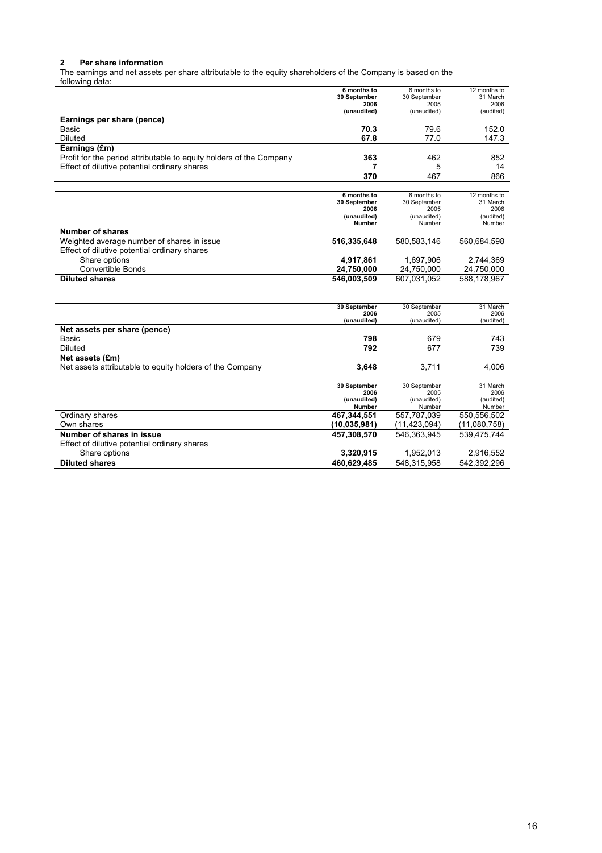#### **2 Per share information**

The earnings and net assets per share attributable to the equity shareholders of the Company is based on the

| following data:                                                     |                       |                     |                   |
|---------------------------------------------------------------------|-----------------------|---------------------|-------------------|
|                                                                     | 6 months to           | 6 months to         | 12 months to      |
|                                                                     | 30 September          | 30 September        | 31 March          |
|                                                                     | 2006<br>(unaudited)   | 2005<br>(unaudited) | 2006<br>(audited) |
| Earnings per share (pence)                                          |                       |                     |                   |
|                                                                     |                       |                     |                   |
| Basic                                                               | 70.3                  | 79.6                | 152.0             |
| <b>Diluted</b>                                                      | 67.8                  | 77.0                | 147.3             |
| Earnings (£m)                                                       |                       |                     |                   |
| Profit for the period attributable to equity holders of the Company | 363                   | 462                 | 852               |
| Effect of dilutive potential ordinary shares                        | 7                     | 5                   | 14                |
|                                                                     | $\overline{370}$      | 467                 | 866               |
|                                                                     |                       |                     |                   |
|                                                                     | 6 months to           | 6 months to         | 12 months to      |
|                                                                     | 30 September          | 30 September        | 31 March          |
|                                                                     | 2006                  | 2005                | 2006              |
|                                                                     | (unaudited)<br>Number | (unaudited)         | (audited)         |
| <b>Number of shares</b>                                             |                       | Number              | Number            |
|                                                                     |                       |                     |                   |
| Weighted average number of shares in issue                          | 516,335,648           | 580,583,146         | 560,684,598       |
| Effect of dilutive potential ordinary shares                        |                       |                     |                   |
| Share options                                                       | 4,917,861             | 1,697,906           | 2,744,369         |
| <b>Convertible Bonds</b>                                            | 24,750,000            | 24,750,000          | 24,750,000        |
| <b>Diluted shares</b>                                               | 546,003,509           | 607,031,052         | 588,178,967       |
|                                                                     |                       |                     |                   |
|                                                                     |                       |                     |                   |
|                                                                     | 30 September          | 30 September        | 31 March          |
|                                                                     | 2006<br>(unaudited)   | 2005<br>(unaudited) | 2006<br>(audited) |
| Net assets per share (pence)                                        |                       |                     |                   |
|                                                                     |                       |                     |                   |
| Basic                                                               | 798                   | 679                 | 743               |
| Diluted                                                             | 792                   | 677                 | 739               |
| Net assets (£m)                                                     |                       |                     |                   |
| Net assets attributable to equity holders of the Company            | 3.648                 | 3.711               | 4.006             |
|                                                                     |                       |                     |                   |
|                                                                     | 30 September          | 30 September        | 31 March          |
|                                                                     | 2006<br>(unaudited)   | 2005<br>(unaudited) | 2006<br>(audited) |
|                                                                     | Number                | Number              | Number            |
| Ordinary shares                                                     | 467,344,551           | 557.787.039         | 550,556,502       |
| Own shares                                                          | (10, 035, 981)        | (11, 423, 094)      | (11,080,758)      |
| Number of shares in issue                                           | 457,308,570           | 546,363,945         | 539,475,744       |
| Effect of dilutive potential ordinary shares                        |                       |                     |                   |
| Share options                                                       | 3,320,915             | 1,952,013           | 2,916,552         |
|                                                                     |                       |                     |                   |
| <b>Diluted shares</b>                                               | 460.629.485           | 548.315.958         | 542.392.296       |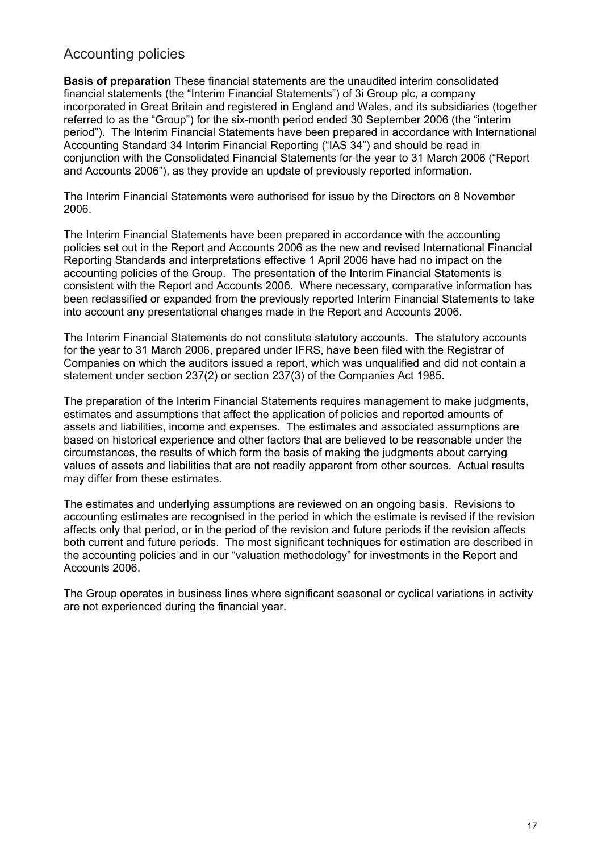# Accounting policies

**Basis of preparation** These financial statements are the unaudited interim consolidated financial statements (the "Interim Financial Statements") of 3i Group plc, a company incorporated in Great Britain and registered in England and Wales, and its subsidiaries (together referred to as the "Group") for the six-month period ended 30 September 2006 (the "interim period"). The Interim Financial Statements have been prepared in accordance with International Accounting Standard 34 Interim Financial Reporting ("IAS 34") and should be read in conjunction with the Consolidated Financial Statements for the year to 31 March 2006 ("Report and Accounts 2006"), as they provide an update of previously reported information.

The Interim Financial Statements were authorised for issue by the Directors on 8 November 2006.

The Interim Financial Statements have been prepared in accordance with the accounting policies set out in the Report and Accounts 2006 as the new and revised International Financial Reporting Standards and interpretations effective 1 April 2006 have had no impact on the accounting policies of the Group. The presentation of the Interim Financial Statements is consistent with the Report and Accounts 2006. Where necessary, comparative information has been reclassified or expanded from the previously reported Interim Financial Statements to take into account any presentational changes made in the Report and Accounts 2006.

The Interim Financial Statements do not constitute statutory accounts. The statutory accounts for the year to 31 March 2006, prepared under IFRS, have been filed with the Registrar of Companies on which the auditors issued a report, which was unqualified and did not contain a statement under section 237(2) or section 237(3) of the Companies Act 1985.

The preparation of the Interim Financial Statements requires management to make judgments, estimates and assumptions that affect the application of policies and reported amounts of assets and liabilities, income and expenses. The estimates and associated assumptions are based on historical experience and other factors that are believed to be reasonable under the circumstances, the results of which form the basis of making the judgments about carrying values of assets and liabilities that are not readily apparent from other sources. Actual results may differ from these estimates.

The estimates and underlying assumptions are reviewed on an ongoing basis. Revisions to accounting estimates are recognised in the period in which the estimate is revised if the revision affects only that period, or in the period of the revision and future periods if the revision affects both current and future periods. The most significant techniques for estimation are described in the accounting policies and in our "valuation methodology" for investments in the Report and Accounts 2006.

The Group operates in business lines where significant seasonal or cyclical variations in activity are not experienced during the financial year.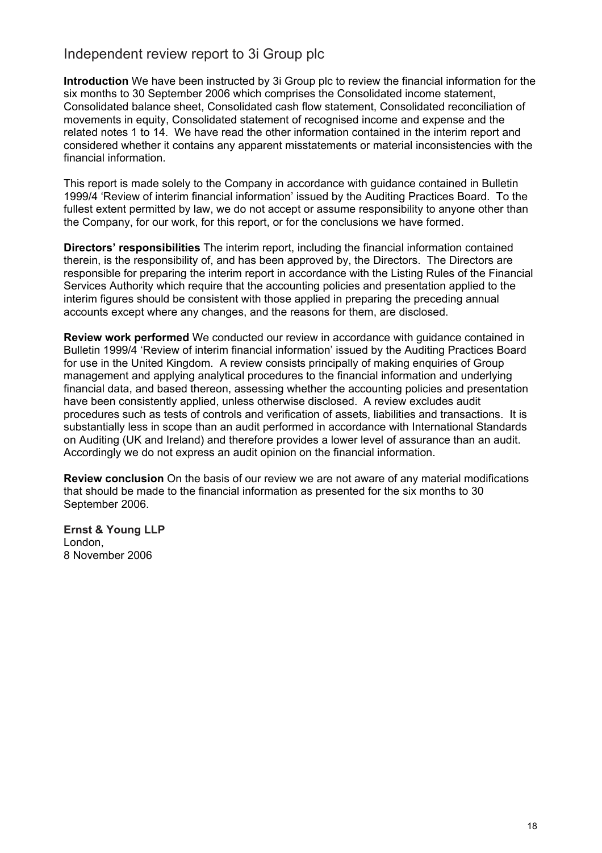# Independent review report to 3i Group plc

**Introduction** We have been instructed by 3i Group plc to review the financial information for the six months to 30 September 2006 which comprises the Consolidated income statement, Consolidated balance sheet, Consolidated cash flow statement, Consolidated reconciliation of movements in equity, Consolidated statement of recognised income and expense and the related notes 1 to 14. We have read the other information contained in the interim report and considered whether it contains any apparent misstatements or material inconsistencies with the financial information.

This report is made solely to the Company in accordance with guidance contained in Bulletin 1999/4 'Review of interim financial information' issued by the Auditing Practices Board. To the fullest extent permitted by law, we do not accept or assume responsibility to anyone other than the Company, for our work, for this report, or for the conclusions we have formed.

**Directors' responsibilities** The interim report, including the financial information contained therein, is the responsibility of, and has been approved by, the Directors. The Directors are responsible for preparing the interim report in accordance with the Listing Rules of the Financial Services Authority which require that the accounting policies and presentation applied to the interim figures should be consistent with those applied in preparing the preceding annual accounts except where any changes, and the reasons for them, are disclosed.

**Review work performed** We conducted our review in accordance with guidance contained in Bulletin 1999/4 'Review of interim financial information' issued by the Auditing Practices Board for use in the United Kingdom. A review consists principally of making enquiries of Group management and applying analytical procedures to the financial information and underlying financial data, and based thereon, assessing whether the accounting policies and presentation have been consistently applied, unless otherwise disclosed. A review excludes audit procedures such as tests of controls and verification of assets, liabilities and transactions. It is substantially less in scope than an audit performed in accordance with International Standards on Auditing (UK and Ireland) and therefore provides a lower level of assurance than an audit. Accordingly we do not express an audit opinion on the financial information.

**Review conclusion** On the basis of our review we are not aware of any material modifications that should be made to the financial information as presented for the six months to 30 September 2006.

**Ernst & Young LLP**  London, 8 November 2006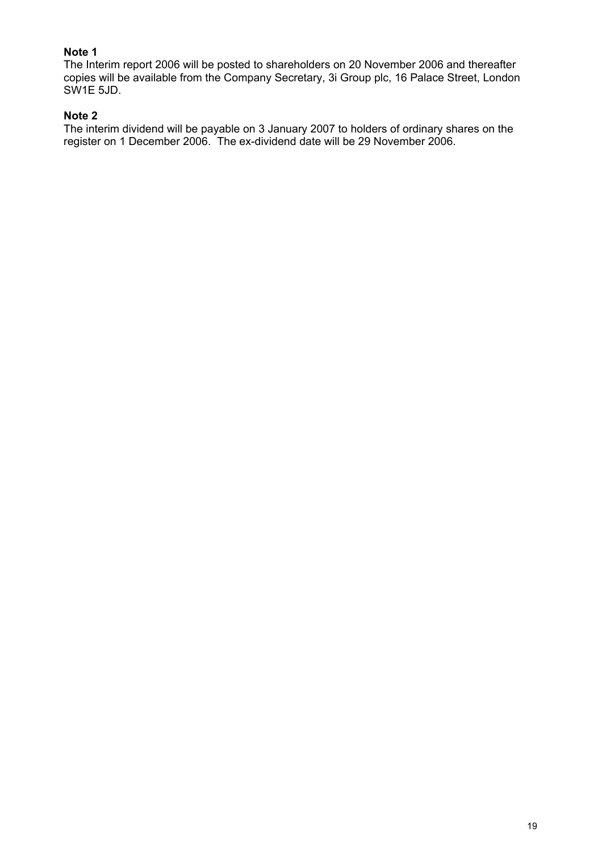## **Note 1**

The Interim report 2006 will be posted to shareholders on 20 November 2006 and thereafter copies will be available from the Company Secretary, 3i Group plc, 16 Palace Street, London SW1E 5JD.

#### **Note 2**

The interim dividend will be payable on 3 January 2007 to holders of ordinary shares on the register on 1 December 2006. The ex-dividend date will be 29 November 2006.